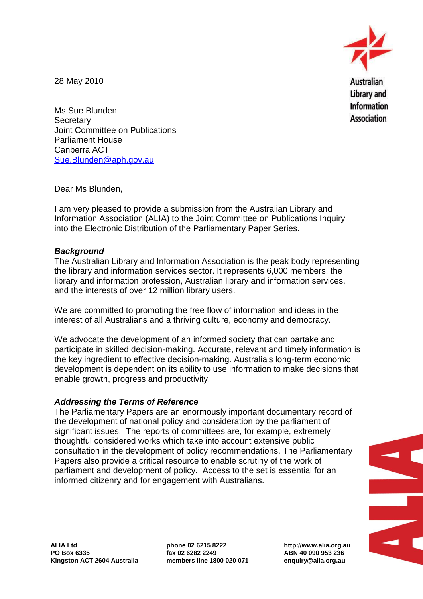

28 May 2010

Ms Sue Blunden **Secretary** Joint Committee on Publications Parliament House Canberra ACT [Sue.Blunden@aph.gov.au](mailto:Sue.Blunden@aph.gov.au)

Dear Ms Blunden,

I am very pleased to provide a submission from the Australian Library and Information Association (ALIA) to the Joint Committee on Publications Inquiry into the Electronic Distribution of the Parliamentary Paper Series.

## *Background*

The Australian Library and Information Association is the peak body representing the library and information services sector. It represents 6,000 members, the library and information profession, Australian library and information services, and the interests of over 12 million library users.

We are committed to promoting the free flow of information and ideas in the interest of all Australians and a thriving culture, economy and democracy.

We advocate the development of an informed society that can partake and participate in skilled decision-making. Accurate, relevant and timely information is the key ingredient to effective decision-making. Australia's long-term economic development is dependent on its ability to use information to make decisions that enable growth, progress and productivity.

## *Addressing the Terms of Reference*

The Parliamentary Papers are an enormously important documentary record of the development of national policy and consideration by the parliament of significant issues. The reports of committees are, for example, extremely thoughtful considered works which take into account extensive public consultation in the development of policy recommendations. The Parliamentary Papers also provide a critical resource to enable scrutiny of the work of parliament and development of policy. Access to the set is essential for an informed citizenry and for engagement with Australians.



**phone 02 6215 8222 fax 02 6282 2249 members line 1800 020 071** **http://www.alia.org.au ABN 40 090 953 236 enquiry@alia.org.au**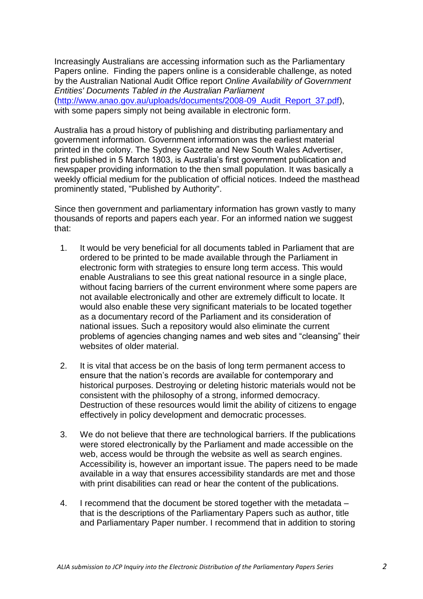Increasingly Australians are accessing information such as the Parliamentary Papers online. Finding the papers online is a considerable challenge, as noted by the Australian National Audit Office report *Online Availability of Government Entities' Documents Tabled in the Australian Parliament* [\(http://www.anao.gov.au/uploads/documents/2008-09\\_Audit\\_Report\\_37.pdf\)](http://www.anao.gov.au/uploads/documents/2008-09_Audit_Report_37.pdf), with some papers simply not being available in electronic form.

Australia has a proud history of publishing and distributing parliamentary and government information. Government information was the earliest material printed in the colony. The Sydney Gazette and New South Wales Advertiser, first published in 5 March 1803, is Australia's first government publication and newspaper providing information to the then small population. It was basically a weekly official medium for the publication of official notices. Indeed the masthead prominently stated, "Published by Authority".

Since then government and parliamentary information has grown vastly to many thousands of reports and papers each year. For an informed nation we suggest that:

- 1. It would be very beneficial for all documents tabled in Parliament that are ordered to be printed to be made available through the Parliament in electronic form with strategies to ensure long term access. This would enable Australians to see this great national resource in a single place, without facing barriers of the current environment where some papers are not available electronically and other are extremely difficult to locate. It would also enable these very significant materials to be located together as a documentary record of the Parliament and its consideration of national issues. Such a repository would also eliminate the current problems of agencies changing names and web sites and "cleansing" their websites of older material
- 2. It is vital that access be on the basis of long term permanent access to ensure that the nation's records are available for contemporary and historical purposes. Destroying or deleting historic materials would not be consistent with the philosophy of a strong, informed democracy. Destruction of these resources would limit the ability of citizens to engage effectively in policy development and democratic processes.
- 3. We do not believe that there are technological barriers. If the publications were stored electronically by the Parliament and made accessible on the web, access would be through the website as well as search engines. Accessibility is, however an important issue. The papers need to be made available in a way that ensures accessibility standards are met and those with print disabilities can read or hear the content of the publications.
- 4. I recommend that the document be stored together with the metadata that is the descriptions of the Parliamentary Papers such as author, title and Parliamentary Paper number. I recommend that in addition to storing